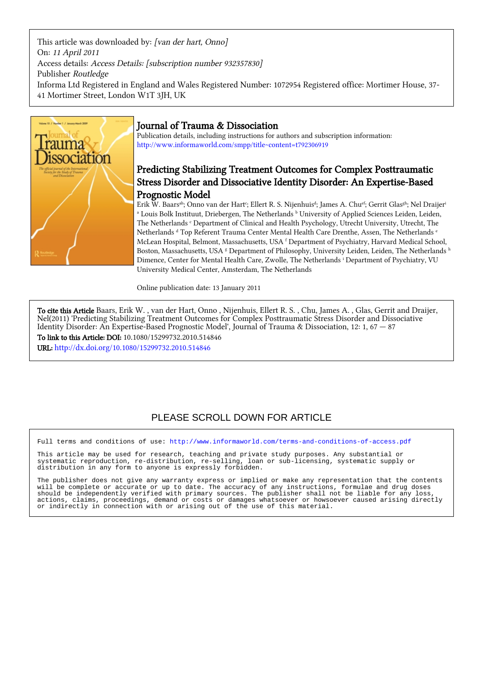This article was downloaded by: [van der hart, Onno] On: 11 April 2011 Access details: Access Details: [subscription number 932357830] Publisher Routledge Informa Ltd Registered in England and Wales Registered Number: 1072954 Registered office: Mortimer House, 37- 41 Mortimer Street, London W1T 3JH, UK



## Journal of Trauma & Dissociation

Publication details, including instructions for authors and subscription information: <http://www.informaworld.com/smpp/title~content=t792306919>

## Predicting Stabilizing Treatment Outcomes for Complex Posttraumatic Stress Disorder and Dissociative Identity Disorder: An Expertise-Based Prognostic Model

Erik W. Baarsª<sup>b</sup>; Onno van der Hart<sup>e</sup>; Ellert R. S. Nijenhuis<sup>d</sup>; James A. Chu<sup>ef</sup>; Gerrit Glas<sup>gh</sup>; Nel Draijer<sup>;</sup> <sup>a</sup> Louis Bolk Instituut, Driebergen, The Netherlands <sup>b</sup> University of Applied Sciences Leiden, Leiden, The Netherlands <sup>c</sup> Department of Clinical and Health Psychology, Utrecht University, Utrecht, The Netherlands <sup>d</sup> Top Referent Trauma Center Mental Health Care Drenthe, Assen, The Netherlands <sup>e</sup> McLean Hospital, Belmont, Massachusetts, USA <sup>f</sup> Department of Psychiatry, Harvard Medical School, Boston, Massachusetts, USA § Department of Philosophy, University Leiden, Leiden, The Netherlands h Dimence, Center for Mental Health Care, Zwolle, The Netherlands <sup>i</sup> Department of Psychiatry, VU University Medical Center, Amsterdam, The Netherlands

Online publication date: 13 January 2011

To cite this Article Baars, Erik W., van der Hart, Onno, Nijenhuis, Ellert R. S., Chu, James A., Glas, Gerrit and Draijer, Nel(2011) 'Predicting Stabilizing Treatment Outcomes for Complex Posttraumatic Stress Disorder and Dissociative Identity Disorder: An Expertise-Based Prognostic Model', Journal of Trauma & Dissociation, 12: 1, 67 — 87

To link to this Article: DOI: 10.1080/15299732.2010.514846 URL: <http://dx.doi.org/10.1080/15299732.2010.514846>

# PLEASE SCROLL DOWN FOR ARTICLE

Full terms and conditions of use:<http://www.informaworld.com/terms-and-conditions-of-access.pdf>

This article may be used for research, teaching and private study purposes. Any substantial or<br>systematic reproduction, re-distribution, re-selling, loan or sub-licensing, systematic supply or systematic reproduction, re-distribution, re-selling, loan or sub-licensing, systematic supply or distribution in any form to anyone is expressly forbidden.

The publisher does not give any warranty express or implied or make any representation that the contents will be complete or accurate or up to date. The accuracy of any instructions, formulae and drug doses should be independently verified with primary sources. The publisher shall not be liable for any loss, actions, claims, proceedings, demand or costs or damages whatsoever or howsoever caused arising directly or indirectly in connection with or arising out of the use of this material.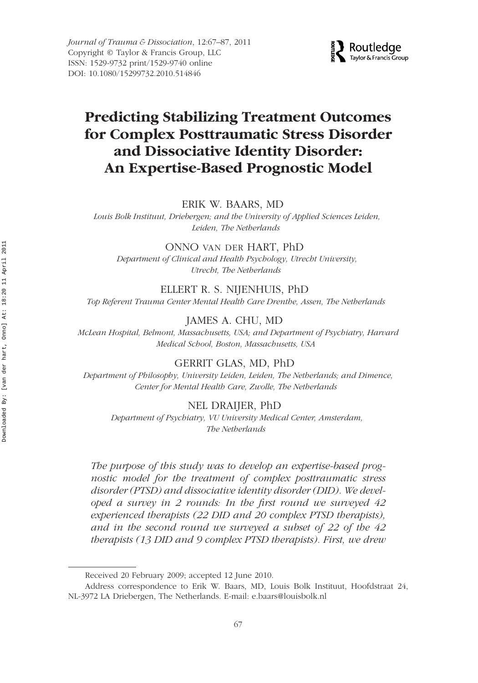*Journal of Trauma & Dissociation*, 12:67–87, 2011 Copyright © Taylor & Francis Group, LLC ISSN: 1529-9732 print/1529-9740 online DOI: 10.1080/15299732.2010.514846



# **Predicting Stabilizing Treatment Outcomes for Complex Posttraumatic Stress Disorder and Dissociative Identity Disorder: An Expertise-Based Prognostic Model**

#### ERIK W. BAARS, MD

*Louis Bolk Instituut, Driebergen; and the University of Applied Sciences Leiden, Leiden, The Netherlands*

ONNO VAN DER HART, PhD *Department of Clinical and Health Psychology, Utrecht University, Utrecht, The Netherlands*

#### ELLERT R. S. NIJENHUIS, PhD

*Top Referent Trauma Center Mental Health Care Drenthe, Assen, The Netherlands*

### JAMES A. CHU, MD

*McLean Hospital, Belmont, Massachusetts, USA; and Department of Psychiatry, Harvard Medical School, Boston, Massachusetts, USA*

#### GERRIT GLAS, MD, PhD

*Department of Philosophy, University Leiden, Leiden, The Netherlands; and Dimence, Center for Mental Health Care, Zwolle, The Netherlands*

#### NEL DRAIJER, PhD

*Department of Psychiatry, VU University Medical Center, Amsterdam, The Netherlands*

*The purpose of this study was to develop an expertise-based prognostic model for the treatment of complex posttraumatic stress disorder (PTSD) and dissociative identity disorder (DID). We developed a survey in 2 rounds: In the first round we surveyed 42 experienced therapists (22 DID and 20 complex PTSD therapists), and in the second round we surveyed a subset of 22 of the 42 therapists (13 DID and 9 complex PTSD therapists). First, we drew*

Received 20 February 2009; accepted 12 June 2010.

Address correspondence to Erik W. Baars, MD, Louis Bolk Instituut, Hoofdstraat 24, NL-3972 LA Driebergen, The Netherlands. E-mail: e.baars@louisbolk.nl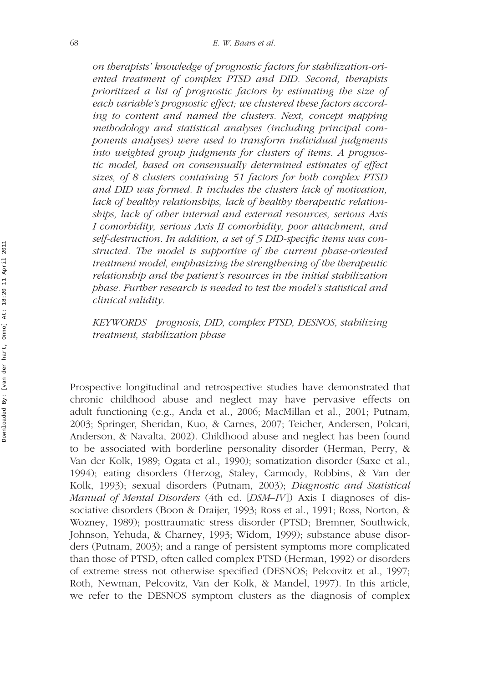*on therapists' knowledge of prognostic factors for stabilization-oriented treatment of complex PTSD and DID. Second, therapists prioritized a list of prognostic factors by estimating the size of each variable's prognostic effect; we clustered these factors according to content and named the clusters. Next, concept mapping methodology and statistical analyses (including principal components analyses) were used to transform individual judgments into weighted group judgments for clusters of items. A prognostic model, based on consensually determined estimates of effect sizes, of 8 clusters containing 51 factors for both complex PTSD and DID was formed. It includes the clusters lack of motivation, lack of healthy relationships, lack of healthy therapeutic relationships, lack of other internal and external resources, serious Axis I comorbidity, serious Axis II comorbidity, poor attachment, and self-destruction. In addition, a set of 5 DID-specific items was constructed. The model is supportive of the current phase-oriented treatment model, emphasizing the strengthening of the therapeutic relationship and the patient's resources in the initial stabilization phase. Further research is needed to test the model's statistical and clinical validity.*

*KEYWORDS prognosis, DID, complex PTSD, DESNOS, stabilizing treatment, stabilization phase*

Prospective longitudinal and retrospective studies have demonstrated that chronic childhood abuse and neglect may have pervasive effects on adult functioning (e.g., Anda et al., 2006; MacMillan et al., 2001; Putnam, 2003; Springer, Sheridan, Kuo, & Carnes, 2007; Teicher, Andersen, Polcari, Anderson, & Navalta, 2002). Childhood abuse and neglect has been found to be associated with borderline personality disorder (Herman, Perry, & Van der Kolk, 1989; Ogata et al., 1990); somatization disorder (Saxe et al., 1994); eating disorders (Herzog, Staley, Carmody, Robbins, & Van der Kolk, 1993); sexual disorders (Putnam, 2003); *Diagnostic and Statistical Manual of Mental Disorders* (4th ed. [*DSM–IV*]) Axis I diagnoses of dissociative disorders (Boon & Draijer, 1993; Ross et al., 1991; Ross, Norton, & Wozney, 1989); posttraumatic stress disorder (PTSD; Bremner, Southwick, Johnson, Yehuda, & Charney, 1993; Widom, 1999); substance abuse disorders (Putnam, 2003); and a range of persistent symptoms more complicated than those of PTSD, often called complex PTSD (Herman, 1992) or disorders of extreme stress not otherwise specified (DESNOS; Pelcovitz et al., 1997; Roth, Newman, Pelcovitz, Van der Kolk, & Mandel, 1997). In this article, we refer to the DESNOS symptom clusters as the diagnosis of complex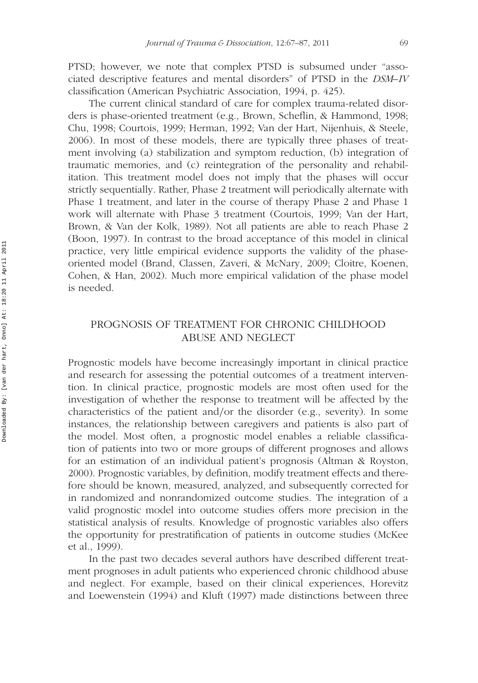PTSD; however, we note that complex PTSD is subsumed under "associated descriptive features and mental disorders" of PTSD in the *DSM–IV* classification (American Psychiatric Association, 1994, p. 425).

The current clinical standard of care for complex trauma-related disorders is phase-oriented treatment (e.g., Brown, Scheflin, & Hammond, 1998; Chu, 1998; Courtois, 1999; Herman, 1992; Van der Hart, Nijenhuis, & Steele, 2006). In most of these models, there are typically three phases of treatment involving (a) stabilization and symptom reduction, (b) integration of traumatic memories, and (c) reintegration of the personality and rehabilitation. This treatment model does not imply that the phases will occur strictly sequentially. Rather, Phase 2 treatment will periodically alternate with Phase 1 treatment, and later in the course of therapy Phase 2 and Phase 1 work will alternate with Phase 3 treatment (Courtois, 1999; Van der Hart, Brown, & Van der Kolk, 1989). Not all patients are able to reach Phase 2 (Boon, 1997). In contrast to the broad acceptance of this model in clinical practice, very little empirical evidence supports the validity of the phaseoriented model (Brand, Classen, Zaveri, & McNary, 2009; Cloitre, Koenen, Cohen, & Han, 2002). Much more empirical validation of the phase model is needed.

## PROGNOSIS OF TREATMENT FOR CHRONIC CHILDHOOD ABUSE AND NEGLECT

Prognostic models have become increasingly important in clinical practice and research for assessing the potential outcomes of a treatment intervention. In clinical practice, prognostic models are most often used for the investigation of whether the response to treatment will be affected by the characteristics of the patient and*/*or the disorder (e.g., severity). In some instances, the relationship between caregivers and patients is also part of the model. Most often, a prognostic model enables a reliable classification of patients into two or more groups of different prognoses and allows for an estimation of an individual patient's prognosis (Altman & Royston, 2000). Prognostic variables, by definition, modify treatment effects and therefore should be known, measured, analyzed, and subsequently corrected for in randomized and nonrandomized outcome studies. The integration of a valid prognostic model into outcome studies offers more precision in the statistical analysis of results. Knowledge of prognostic variables also offers the opportunity for prestratification of patients in outcome studies (McKee et al., 1999).

In the past two decades several authors have described different treatment prognoses in adult patients who experienced chronic childhood abuse and neglect. For example, based on their clinical experiences, Horevitz and Loewenstein (1994) and Kluft (1997) made distinctions between three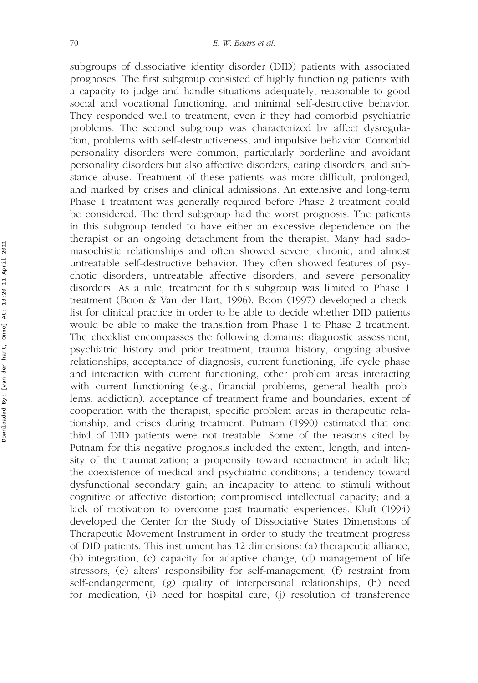subgroups of dissociative identity disorder (DID) patients with associated prognoses. The first subgroup consisted of highly functioning patients with a capacity to judge and handle situations adequately, reasonable to good social and vocational functioning, and minimal self-destructive behavior. They responded well to treatment, even if they had comorbid psychiatric problems. The second subgroup was characterized by affect dysregulation, problems with self-destructiveness, and impulsive behavior. Comorbid personality disorders were common, particularly borderline and avoidant personality disorders but also affective disorders, eating disorders, and substance abuse. Treatment of these patients was more difficult, prolonged, and marked by crises and clinical admissions. An extensive and long-term Phase 1 treatment was generally required before Phase 2 treatment could be considered. The third subgroup had the worst prognosis. The patients in this subgroup tended to have either an excessive dependence on the therapist or an ongoing detachment from the therapist. Many had sadomasochistic relationships and often showed severe, chronic, and almost untreatable self-destructive behavior. They often showed features of psychotic disorders, untreatable affective disorders, and severe personality disorders. As a rule, treatment for this subgroup was limited to Phase 1 treatment (Boon & Van der Hart, 1996). Boon (1997) developed a checklist for clinical practice in order to be able to decide whether DID patients would be able to make the transition from Phase 1 to Phase 2 treatment. The checklist encompasses the following domains: diagnostic assessment, psychiatric history and prior treatment, trauma history, ongoing abusive relationships, acceptance of diagnosis, current functioning, life cycle phase and interaction with current functioning, other problem areas interacting with current functioning (e.g., financial problems, general health problems, addiction), acceptance of treatment frame and boundaries, extent of cooperation with the therapist, specific problem areas in therapeutic relationship, and crises during treatment. Putnam (1990) estimated that one third of DID patients were not treatable. Some of the reasons cited by Putnam for this negative prognosis included the extent, length, and intensity of the traumatization; a propensity toward reenactment in adult life; the coexistence of medical and psychiatric conditions; a tendency toward dysfunctional secondary gain; an incapacity to attend to stimuli without cognitive or affective distortion; compromised intellectual capacity; and a lack of motivation to overcome past traumatic experiences. Kluft (1994) developed the Center for the Study of Dissociative States Dimensions of Therapeutic Movement Instrument in order to study the treatment progress of DID patients. This instrument has 12 dimensions: (a) therapeutic alliance, (b) integration, (c) capacity for adaptive change, (d) management of life stressors, (e) alters' responsibility for self-management, (f) restraint from self-endangerment, (g) quality of interpersonal relationships, (h) need for medication, (i) need for hospital care, (j) resolution of transference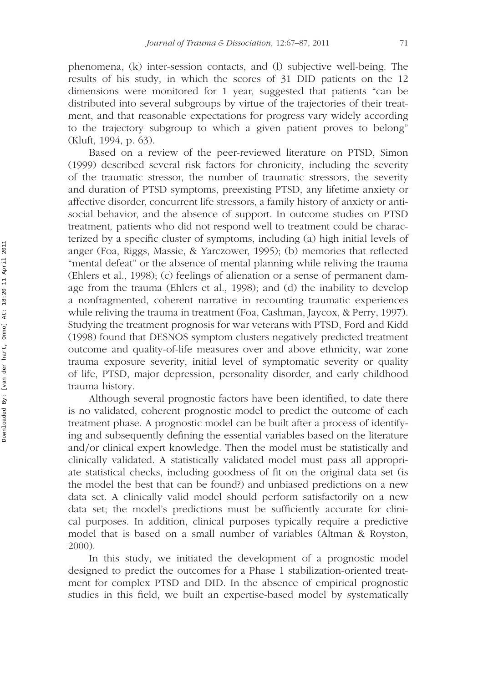phenomena, (k) inter-session contacts, and (l) subjective well-being. The results of his study, in which the scores of 31 DID patients on the 12 dimensions were monitored for 1 year, suggested that patients "can be distributed into several subgroups by virtue of the trajectories of their treatment, and that reasonable expectations for progress vary widely according to the trajectory subgroup to which a given patient proves to belong" (Kluft, 1994, p. 63).

Based on a review of the peer-reviewed literature on PTSD, Simon (1999) described several risk factors for chronicity, including the severity of the traumatic stressor, the number of traumatic stressors, the severity and duration of PTSD symptoms, preexisting PTSD, any lifetime anxiety or affective disorder, concurrent life stressors, a family history of anxiety or antisocial behavior, and the absence of support. In outcome studies on PTSD treatment*,* patients who did not respond well to treatment could be characterized by a specific cluster of symptoms, including (a) high initial levels of anger (Foa, Riggs, Massie, & Yarczower, 1995); (b) memories that reflected "mental defeat" or the absence of mental planning while reliving the trauma (Ehlers et al., 1998); (c) feelings of alienation or a sense of permanent damage from the trauma (Ehlers et al., 1998); and (d) the inability to develop a nonfragmented, coherent narrative in recounting traumatic experiences while reliving the trauma in treatment (Foa, Cashman, Jaycox, & Perry, 1997). Studying the treatment prognosis for war veterans with PTSD, Ford and Kidd (1998) found that DESNOS symptom clusters negatively predicted treatment outcome and quality-of-life measures over and above ethnicity, war zone trauma exposure severity, initial level of symptomatic severity or quality of life, PTSD, major depression, personality disorder, and early childhood trauma history.

Although several prognostic factors have been identified, to date there is no validated, coherent prognostic model to predict the outcome of each treatment phase. A prognostic model can be built after a process of identifying and subsequently defining the essential variables based on the literature and*/*or clinical expert knowledge. Then the model must be statistically and clinically validated. A statistically validated model must pass all appropriate statistical checks, including goodness of fit on the original data set (is the model the best that can be found?) and unbiased predictions on a new data set. A clinically valid model should perform satisfactorily on a new data set; the model's predictions must be sufficiently accurate for clinical purposes. In addition, clinical purposes typically require a predictive model that is based on a small number of variables (Altman & Royston, 2000).

In this study, we initiated the development of a prognostic model designed to predict the outcomes for a Phase 1 stabilization-oriented treatment for complex PTSD and DID. In the absence of empirical prognostic studies in this field, we built an expertise-based model by systematically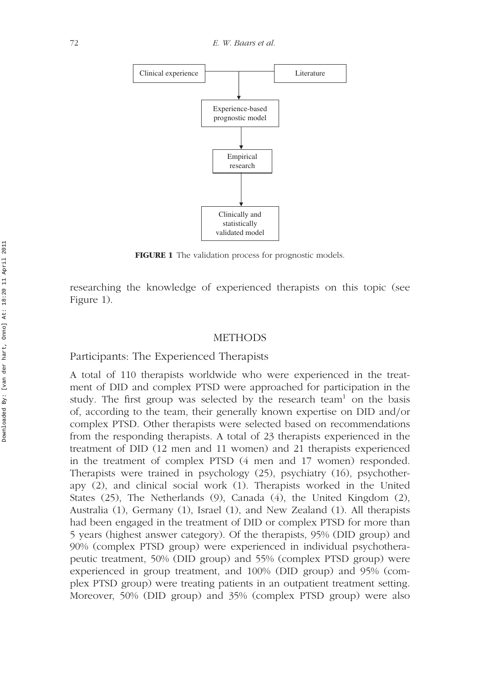

**FIGURE 1** The validation process for prognostic models.

researching the knowledge of experienced therapists on this topic (see Figure 1).

#### METHODS

#### Participants: The Experienced Therapists

A total of 110 therapists worldwide who were experienced in the treatment of DID and complex PTSD were approached for participation in the study. The first group was selected by the research team<sup>1</sup> on the basis of, according to the team, their generally known expertise on DID and*/*or complex PTSD. Other therapists were selected based on recommendations from the responding therapists. A total of 23 therapists experienced in the treatment of DID (12 men and 11 women) and 21 therapists experienced in the treatment of complex PTSD (4 men and 17 women) responded. Therapists were trained in psychology (25), psychiatry (16), psychotherapy (2), and clinical social work (1). Therapists worked in the United States (25), The Netherlands (9), Canada (4), the United Kingdom (2), Australia (1), Germany (1), Israel (1), and New Zealand (1). All therapists had been engaged in the treatment of DID or complex PTSD for more than 5 years (highest answer category). Of the therapists, 95% (DID group) and 90% (complex PTSD group) were experienced in individual psychotherapeutic treatment, 50% (DID group) and 55% (complex PTSD group) were experienced in group treatment, and 100% (DID group) and 95% (complex PTSD group) were treating patients in an outpatient treatment setting. Moreover, 50% (DID group) and 35% (complex PTSD group) were also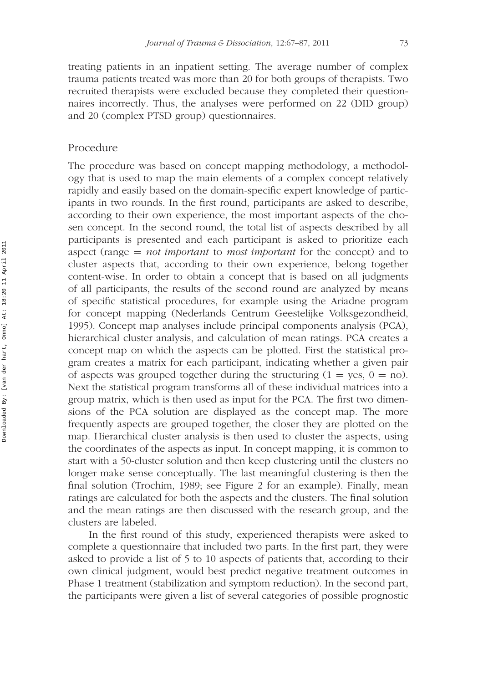treating patients in an inpatient setting. The average number of complex trauma patients treated was more than 20 for both groups of therapists. Two recruited therapists were excluded because they completed their questionnaires incorrectly. Thus, the analyses were performed on 22 (DID group) and 20 (complex PTSD group) questionnaires.

#### Procedure

The procedure was based on concept mapping methodology, a methodology that is used to map the main elements of a complex concept relatively rapidly and easily based on the domain-specific expert knowledge of participants in two rounds. In the first round, participants are asked to describe, according to their own experience, the most important aspects of the chosen concept. In the second round, the total list of aspects described by all participants is presented and each participant is asked to prioritize each aspect (range = *not important* to *most important* for the concept) and to cluster aspects that, according to their own experience, belong together content-wise. In order to obtain a concept that is based on all judgments of all participants, the results of the second round are analyzed by means of specific statistical procedures, for example using the Ariadne program for concept mapping (Nederlands Centrum Geestelijke Volksgezondheid, 1995). Concept map analyses include principal components analysis (PCA), hierarchical cluster analysis, and calculation of mean ratings. PCA creates a concept map on which the aspects can be plotted. First the statistical program creates a matrix for each participant, indicating whether a given pair of aspects was grouped together during the structuring  $(1 = \text{yes}, 0 = \text{no}).$ Next the statistical program transforms all of these individual matrices into a group matrix, which is then used as input for the PCA. The first two dimensions of the PCA solution are displayed as the concept map. The more frequently aspects are grouped together, the closer they are plotted on the map. Hierarchical cluster analysis is then used to cluster the aspects, using the coordinates of the aspects as input. In concept mapping, it is common to start with a 50-cluster solution and then keep clustering until the clusters no longer make sense conceptually. The last meaningful clustering is then the final solution (Trochim, 1989; see Figure 2 for an example). Finally, mean ratings are calculated for both the aspects and the clusters. The final solution and the mean ratings are then discussed with the research group, and the clusters are labeled.

In the first round of this study, experienced therapists were asked to complete a questionnaire that included two parts. In the first part, they were asked to provide a list of 5 to 10 aspects of patients that, according to their own clinical judgment, would best predict negative treatment outcomes in Phase 1 treatment (stabilization and symptom reduction). In the second part, the participants were given a list of several categories of possible prognostic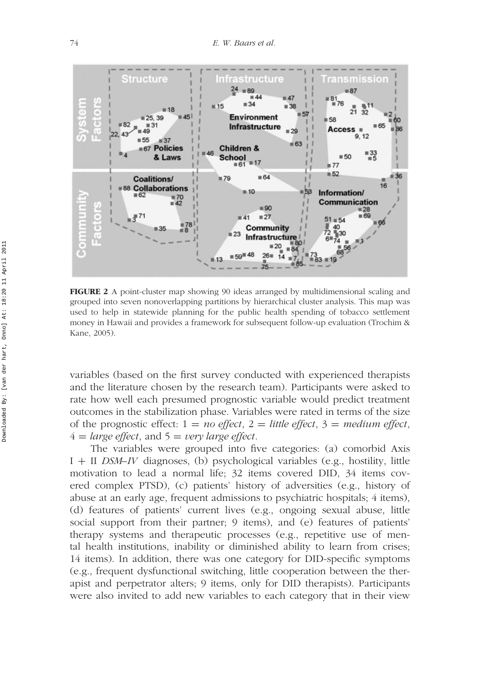

**FIGURE 2** A point-cluster map showing 90 ideas arranged by multidimensional scaling and grouped into seven nonoverlapping partitions by hierarchical cluster analysis. This map was used to help in statewide planning for the public health spending of tobacco settlement money in Hawaii and provides a framework for subsequent follow-up evaluation (Trochim & Kane, 2005).

variables (based on the first survey conducted with experienced therapists and the literature chosen by the research team). Participants were asked to rate how well each presumed prognostic variable would predict treatment outcomes in the stabilization phase. Variables were rated in terms of the size of the prognostic effect:  $1 = no$  effect,  $2 = little$  effect,  $3 = medium$  effect,  $4 = \text{large effect}, \text{and } 5 = \text{very large effect}.$ 

The variables were grouped into five categories: (a) comorbid Axis I + II *DSM–IV* diagnoses, (b) psychological variables (e.g., hostility, little motivation to lead a normal life; 32 items covered DID, 34 items covered complex PTSD), (c) patients' history of adversities (e.g., history of abuse at an early age, frequent admissions to psychiatric hospitals; 4 items), (d) features of patients' current lives (e.g., ongoing sexual abuse, little social support from their partner; 9 items), and (e) features of patients' therapy systems and therapeutic processes (e.g., repetitive use of mental health institutions, inability or diminished ability to learn from crises; 14 items). In addition, there was one category for DID-specific symptoms (e.g., frequent dysfunctional switching, little cooperation between the therapist and perpetrator alters; 9 items, only for DID therapists). Participants were also invited to add new variables to each category that in their view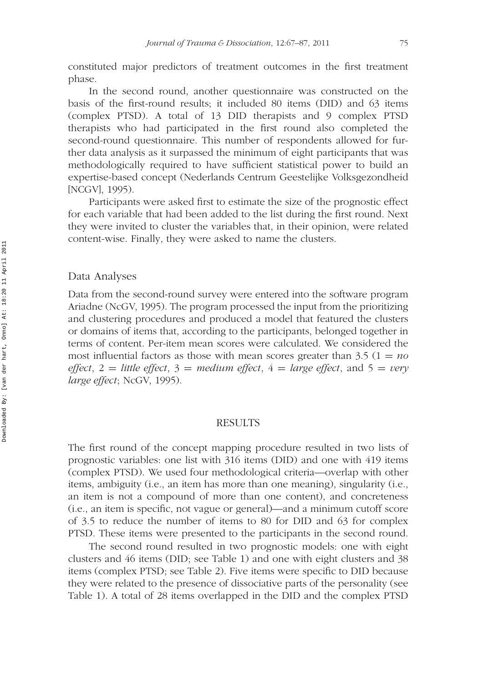constituted major predictors of treatment outcomes in the first treatment phase.

In the second round, another questionnaire was constructed on the basis of the first-round results; it included 80 items (DID) and 63 items (complex PTSD). A total of 13 DID therapists and 9 complex PTSD therapists who had participated in the first round also completed the second-round questionnaire. This number of respondents allowed for further data analysis as it surpassed the minimum of eight participants that was methodologically required to have sufficient statistical power to build an expertise-based concept (Nederlands Centrum Geestelijke Volksgezondheid [NCGV], 1995).

Participants were asked first to estimate the size of the prognostic effect for each variable that had been added to the list during the first round. Next they were invited to cluster the variables that, in their opinion, were related content-wise. Finally, they were asked to name the clusters.

#### Data Analyses

Data from the second-round survey were entered into the software program Ariadne (NcGV, 1995). The program processed the input from the prioritizing and clustering procedures and produced a model that featured the clusters or domains of items that, according to the participants, belonged together in terms of content. Per-item mean scores were calculated. We considered the most influential factors as those with mean scores greater than 3.5 (1 = *no effect*,  $2 =$  *little effect*,  $3 =$  *medium effect*,  $4 =$  *large effect*, and  $5 =$  *very large effect*; NcGV, 1995).

#### RESULTS

The first round of the concept mapping procedure resulted in two lists of prognostic variables: one list with 316 items (DID) and one with 419 items (complex PTSD). We used four methodological criteria—overlap with other items, ambiguity (i.e., an item has more than one meaning), singularity (i.e., an item is not a compound of more than one content), and concreteness (i.e., an item is specific, not vague or general)—and a minimum cutoff score of 3.5 to reduce the number of items to 80 for DID and 63 for complex PTSD. These items were presented to the participants in the second round.

The second round resulted in two prognostic models: one with eight clusters and 46 items (DID; see Table 1) and one with eight clusters and 38 items (complex PTSD; see Table 2). Five items were specific to DID because they were related to the presence of dissociative parts of the personality (see Table 1). A total of 28 items overlapped in the DID and the complex PTSD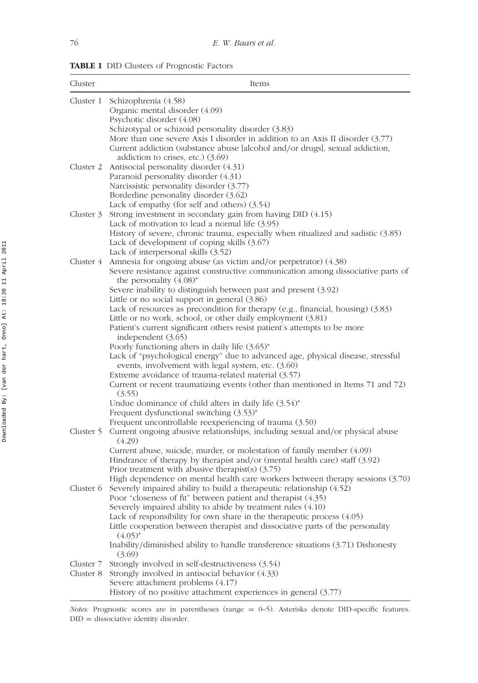**TABLE 1** DID Clusters of Prognostic Factors

| Cluster   | Items                                                                                                                        |
|-----------|------------------------------------------------------------------------------------------------------------------------------|
| Cluster 1 | Schizophrenia (4.58)                                                                                                         |
|           | Organic mental disorder (4.09)                                                                                               |
|           | Psychotic disorder (4.08)                                                                                                    |
|           | Schizotypal or schizoid personality disorder (3.83)                                                                          |
|           | More than one severe Axis I disorder in addition to an Axis II disorder (3.77)                                               |
|           | Current addiction (substance abuse [alcohol and/or drugs], sexual addiction,<br>addiction to crises, etc.) $(3.69)$          |
| Cluster 2 | Antisocial personality disorder (4.31)                                                                                       |
|           | Paranoid personality disorder (4.31)                                                                                         |
|           | Narcissistic personality disorder (3.77)<br>Borderline personality disorder (3.62)                                           |
|           | Lack of empathy (for self and others) (3.54)                                                                                 |
| Cluster 3 | Strong investment in secondary gain from having DID (4.15)                                                                   |
|           | Lack of motivation to lead a normal life (3.95)                                                                              |
|           | History of severe, chronic trauma, especially when ritualized and sadistic (3.85)                                            |
|           | Lack of development of coping skills (3.67)                                                                                  |
|           | Lack of interpersonal skills (3.52)                                                                                          |
| Cluster 4 | Amnesia for ongoing abuse (as victim and/or perpetrator) (4.38)                                                              |
|           | Severe resistance against constructive communication among dissociative parts of<br>the personality $(4.08)^*$               |
|           | Severe inability to distinguish between past and present (3.92)                                                              |
|           | Little or no social support in general (3.86)                                                                                |
|           | Lack of resources as precondition for therapy (e.g., financial, housing) (3.83)                                              |
|           | Little or no work, school, or other daily employment (3.81)                                                                  |
|           | Patient's current significant others resist patient's attempts to be more                                                    |
|           | independent (3.65)                                                                                                           |
|           | Poorly functioning alters in daily life $(3.65)^*$                                                                           |
|           | Lack of "psychological energy" due to advanced age, physical disease, stressful                                              |
|           | events, involvement with legal system, etc. (3.60)<br>Extreme avoidance of trauma-related material (3.57)                    |
|           | Current or recent traumatizing events (other than mentioned in Items 71 and 72)                                              |
|           | (3.55)                                                                                                                       |
|           | Undue dominance of child alters in daily life $(3.54)$ <sup>*</sup>                                                          |
|           | Frequent dysfunctional switching (3.53)*                                                                                     |
|           | Frequent uncontrollable reexperiencing of trauma (3.50)                                                                      |
| Cluster 5 | Current ongoing abusive relationships, including sexual and/or physical abuse<br>(4.29)                                      |
|           | Current abuse, suicide, murder, or molestation of family member (4.09)                                                       |
|           | Hindrance of therapy by therapist and/or (mental health care) staff (3.92)                                                   |
|           | Prior treatment with abusive therapist(s) $(3.75)$                                                                           |
|           | High dependence on mental health care workers between therapy sessions (3.70)                                                |
| Cluster 6 | Severely impaired ability to build a therapeutic relationship (4.52)                                                         |
|           | Poor "closeness of fit" between patient and therapist (4.35)<br>Severely impaired ability to abide by treatment rules (4.10) |
|           | Lack of responsibility for own share in the therapeutic process $(4.05)$                                                     |
|           | Little cooperation between therapist and dissociative parts of the personality                                               |
|           | $(4.05)^*$                                                                                                                   |
|           | Inability/diminished ability to handle transference situations (3.71) Dishonesty                                             |
|           | (3.69)                                                                                                                       |
| Cluster 7 | Strongly involved in self-destructiveness (3.54)                                                                             |
| Cluster 8 | Strongly involved in antisocial behavior (4.33)                                                                              |
|           | Severe attachment problems (4.17)                                                                                            |
|           | History of no positive attachment experiences in general (3.77)                                                              |

*Notes:* Prognostic scores are in parentheses (range = 0–5). Asterisks denote DID-specific features. DID = dissociative identity disorder.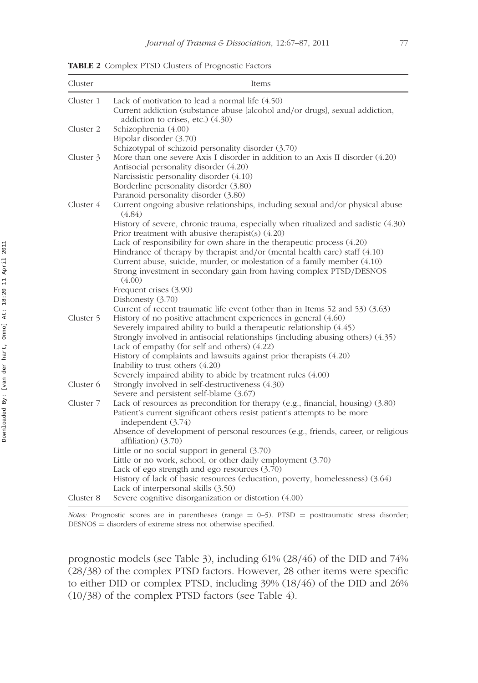**TABLE 2** Complex PTSD Clusters of Prognostic Factors

| Cluster   | Items                                                                                                                                                                                                                                                                                                                                                                                                                                                                                                                                                                                                                                                                                       |
|-----------|---------------------------------------------------------------------------------------------------------------------------------------------------------------------------------------------------------------------------------------------------------------------------------------------------------------------------------------------------------------------------------------------------------------------------------------------------------------------------------------------------------------------------------------------------------------------------------------------------------------------------------------------------------------------------------------------|
| Cluster 1 | Lack of motivation to lead a normal life $(4.50)$<br>Current addiction (substance abuse [alcohol and/or drugs], sexual addiction,<br>addiction to crises, etc.) (4.30)                                                                                                                                                                                                                                                                                                                                                                                                                                                                                                                      |
| Cluster 2 | Schizophrenia (4.00)<br>Bipolar disorder (3.70)<br>Schizotypal of schizoid personality disorder (3.70)                                                                                                                                                                                                                                                                                                                                                                                                                                                                                                                                                                                      |
| Cluster 3 | More than one severe Axis I disorder in addition to an Axis II disorder (4.20)<br>Antisocial personality disorder (4.20)<br>Narcissistic personality disorder (4.10)<br>Borderline personality disorder (3.80)<br>Paranoid personality disorder (3.80)                                                                                                                                                                                                                                                                                                                                                                                                                                      |
| Cluster 4 | Current ongoing abusive relationships, including sexual and/or physical abuse<br>(4.84)<br>History of severe, chronic trauma, especially when ritualized and sadistic (4.30)<br>Prior treatment with abusive therapist(s) $(4.20)$<br>Lack of responsibility for own share in the therapeutic process $(4.20)$<br>Hindrance of therapy by therapist and/or (mental health care) staff $(4.10)$<br>Current abuse, suicide, murder, or molestation of a family member (4.10)<br>Strong investment in secondary gain from having complex PTSD/DESNOS<br>(4.00)<br>Frequent crises (3.90)<br>Dishonesty (3.70)<br>Current of recent traumatic life event (other than in Items 52 and 53) (3.63) |
| Cluster 5 | History of no positive attachment experiences in general (4.60)<br>Severely impaired ability to build a therapeutic relationship (4.45)<br>Strongly involved in antisocial relationships (including abusing others) (4.35)<br>Lack of empathy (for self and others) (4.22)<br>History of complaints and lawsuits against prior therapists (4.20)<br>Inability to trust others $(4.20)$<br>Severely impaired ability to abide by treatment rules (4.00)                                                                                                                                                                                                                                      |
| Cluster 6 | Strongly involved in self-destructiveness (4.30)<br>Severe and persistent self-blame (3.67)                                                                                                                                                                                                                                                                                                                                                                                                                                                                                                                                                                                                 |
| Cluster 7 | Lack of resources as precondition for therapy (e.g., financial, housing) (3.80)<br>Patient's current significant others resist patient's attempts to be more<br>independent $(3.74)$<br>Absence of development of personal resources (e.g., friends, career, or religious<br>affiliation) (3.70)<br>Little or no social support in general (3.70)<br>Little or no work, school, or other daily employment (3.70)<br>Lack of ego strength and ego resources (3.70)<br>History of lack of basic resources (education, poverty, homelessness) (3.64)<br>Lack of interpersonal skills (3.50)                                                                                                    |
| Cluster 8 | Severe cognitive disorganization or distortion (4.00)                                                                                                                                                                                                                                                                                                                                                                                                                                                                                                                                                                                                                                       |

*Notes:* Prognostic scores are in parentheses (range = 0–5). PTSD = posttraumatic stress disorder; DESNOS = disorders of extreme stress not otherwise specified.

prognostic models (see Table 3), including 61% (28*/*46) of the DID and 74% (28*/*38) of the complex PTSD factors. However, 28 other items were specific to either DID or complex PTSD, including 39% (18*/*46) of the DID and 26% (10*/*38) of the complex PTSD factors (see Table 4).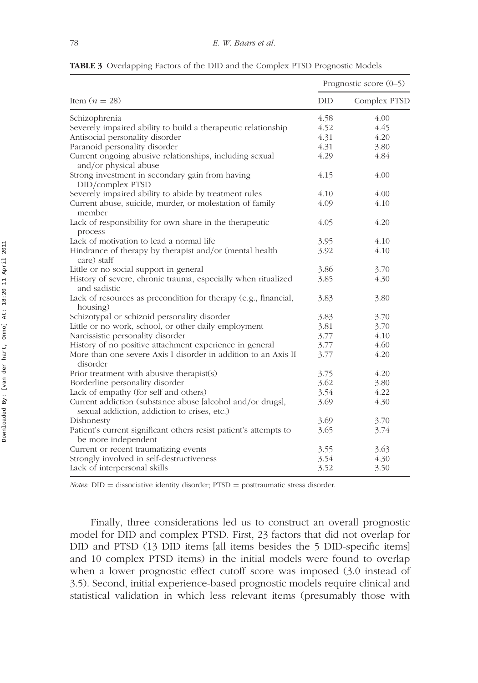|                                                                                                            |            | Prognostic score (0-5) |
|------------------------------------------------------------------------------------------------------------|------------|------------------------|
| Item $(n = 28)$                                                                                            | <b>DID</b> | Complex PTSD           |
| Schizophrenia                                                                                              | 4.58       | 4.00                   |
| Severely impaired ability to build a therapeutic relationship                                              | 4.52       | 4.45                   |
| Antisocial personality disorder                                                                            | 4.31       | 4.20                   |
| Paranoid personality disorder                                                                              | 4.31       | 3.80                   |
| Current ongoing abusive relationships, including sexual<br>and/or physical abuse                           | 4.29       | 4.84                   |
| Strong investment in secondary gain from having<br>DID/complex PTSD                                        | 4.15       | 4.00                   |
| Severely impaired ability to abide by treatment rules                                                      | 4.10       | 4.00                   |
| Current abuse, suicide, murder, or molestation of family<br>member                                         | 4.09       | 4.10                   |
| Lack of responsibility for own share in the therapeutic<br>process                                         | 4.05       | 4.20                   |
| Lack of motivation to lead a normal life                                                                   | 3.95       | 4.10                   |
| Hindrance of therapy by therapist and/or (mental health<br>care) staff                                     | 3.92       | 4.10                   |
| Little or no social support in general                                                                     | 3.86       | 3.70                   |
| History of severe, chronic trauma, especially when ritualized<br>and sadistic                              | 3.85       | 4.30                   |
| Lack of resources as precondition for therapy (e.g., financial,<br>housing)                                | 3.83       | 3.80                   |
| Schizotypal or schizoid personality disorder                                                               | 3.83       | 3.70                   |
| Little or no work, school, or other daily employment                                                       | 3.81       | 3.70                   |
| Narcissistic personality disorder                                                                          | 3.77       | 4.10                   |
| History of no positive attachment experience in general                                                    | 3.77       | 4.60                   |
| More than one severe Axis I disorder in addition to an Axis II<br>disorder                                 | 3.77       | 4.20                   |
| Prior treatment with abusive therapist $(s)$                                                               | 3.75       | 4.20                   |
| Borderline personality disorder                                                                            | 3.62       | 3.80                   |
| Lack of empathy (for self and others)                                                                      | 3.54       | 4.22                   |
| Current addiction (substance abuse [alcohol and/or drugs],<br>sexual addiction, addiction to crises, etc.) | 3.69       | 4.30                   |
| Dishonesty                                                                                                 | 3.69       | 3.70                   |
| Patient's current significant others resist patient's attempts to                                          | 3.65       | 3.74                   |
| be more independent                                                                                        |            |                        |
| Current or recent traumatizing events                                                                      | 3.55       | 3.63                   |
| Strongly involved in self-destructiveness                                                                  | 3.54       | 4.30                   |
| Lack of interpersonal skills                                                                               | 3.52       | 3.50                   |

**TABLE 3** Overlapping Factors of the DID and the Complex PTSD Prognostic Models

*Notes:* DID = dissociative identity disorder; PTSD = posttraumatic stress disorder.

Finally, three considerations led us to construct an overall prognostic model for DID and complex PTSD. First, 23 factors that did not overlap for DID and PTSD (13 DID items [all items besides the 5 DID-specific items] and 10 complex PTSD items) in the initial models were found to overlap when a lower prognostic effect cutoff score was imposed (3.0 instead of 3.5). Second, initial experience-based prognostic models require clinical and statistical validation in which less relevant items (presumably those with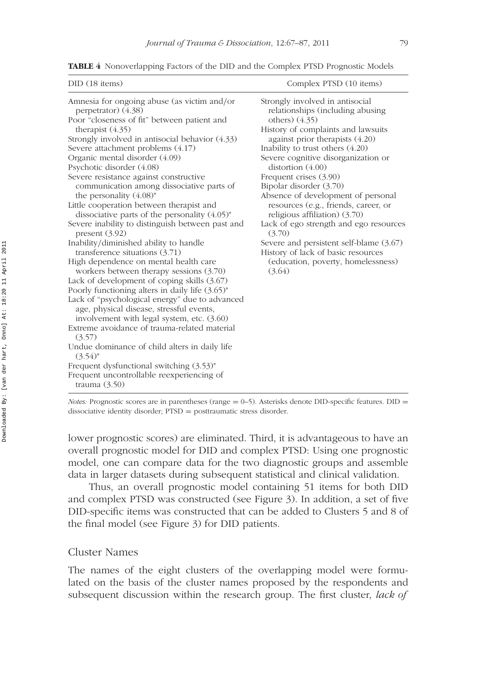**TABLE 4** Nonoverlapping Factors of the DID and the Complex PTSD Prognostic Models

| $DID(18$ items)                                                                                                                                                                                                                                                                                                                                                                                                                                                                                                                                                                                                                                                                                                                                                                                                                                                                                                                                                                                                                                                                                                                                                                                                                                       | Complex PTSD (10 items)                                                                                                                                                                                                                                                                                                                                                                                                                                                                                                                                                                                                         |
|-------------------------------------------------------------------------------------------------------------------------------------------------------------------------------------------------------------------------------------------------------------------------------------------------------------------------------------------------------------------------------------------------------------------------------------------------------------------------------------------------------------------------------------------------------------------------------------------------------------------------------------------------------------------------------------------------------------------------------------------------------------------------------------------------------------------------------------------------------------------------------------------------------------------------------------------------------------------------------------------------------------------------------------------------------------------------------------------------------------------------------------------------------------------------------------------------------------------------------------------------------|---------------------------------------------------------------------------------------------------------------------------------------------------------------------------------------------------------------------------------------------------------------------------------------------------------------------------------------------------------------------------------------------------------------------------------------------------------------------------------------------------------------------------------------------------------------------------------------------------------------------------------|
| Amnesia for ongoing abuse (as victim and/or<br>perpetrator) (4.38)<br>Poor "closeness of fit" between patient and<br>therapist $(4.35)$<br>Strongly involved in antisocial behavior (4.33)<br>Severe attachment problems (4.17)<br>Organic mental disorder (4.09)<br>Psychotic disorder (4.08)<br>Severe resistance against constructive<br>communication among dissociative parts of<br>the personality $(4.08)^*$<br>Little cooperation between therapist and<br>dissociative parts of the personality $(4.05)^*$<br>Severe inability to distinguish between past and<br>present $(3.92)$<br>Inability/diminished ability to handle<br>transference situations $(3.71)$<br>High dependence on mental health care<br>workers between therapy sessions (3.70)<br>Lack of development of coping skills $(3.67)$<br>Poorly functioning alters in daily life $(3.65)^*$<br>Lack of "psychological energy" due to advanced<br>age, physical disease, stressful events,<br>involvement with legal system, etc. (3.60)<br>Extreme avoidance of trauma-related material<br>(3.57)<br>Undue dominance of child alters in daily life<br>$(3.54)^*$<br>Frequent dysfunctional switching (3.53)*<br>Frequent uncontrollable reexperiencing of<br>trauma $(3.50)$ | Strongly involved in antisocial<br>relationships (including abusing<br>others) $(4.35)$<br>History of complaints and lawsuits<br>against prior therapists (4.20)<br>Inability to trust others $(4.20)$<br>Severe cognitive disorganization or<br>distortion $(4.00)$<br>Frequent crises (3.90)<br>Bipolar disorder (3.70)<br>Absence of development of personal<br>resources (e.g., friends, career, or<br>religious affiliation) $(3.70)$<br>Lack of ego strength and ego resources<br>(3.70)<br>Severe and persistent self-blame (3.67)<br>History of lack of basic resources<br>(education, poverty, homelessness)<br>(3.64) |

*Notes:* Prognostic scores are in parentheses (range = 0–5). Asterisks denote DID-specific features. DID = dissociative identity disorder; PTSD = posttraumatic stress disorder.

lower prognostic scores) are eliminated. Third, it is advantageous to have an overall prognostic model for DID and complex PTSD: Using one prognostic model, one can compare data for the two diagnostic groups and assemble data in larger datasets during subsequent statistical and clinical validation.

Thus, an overall prognostic model containing 51 items for both DID and complex PTSD was constructed (see Figure 3). In addition, a set of five DID-specific items was constructed that can be added to Clusters 5 and 8 of the final model (see Figure 3) for DID patients.

#### Cluster Names

The names of the eight clusters of the overlapping model were formulated on the basis of the cluster names proposed by the respondents and subsequent discussion within the research group. The first cluster, *lack of*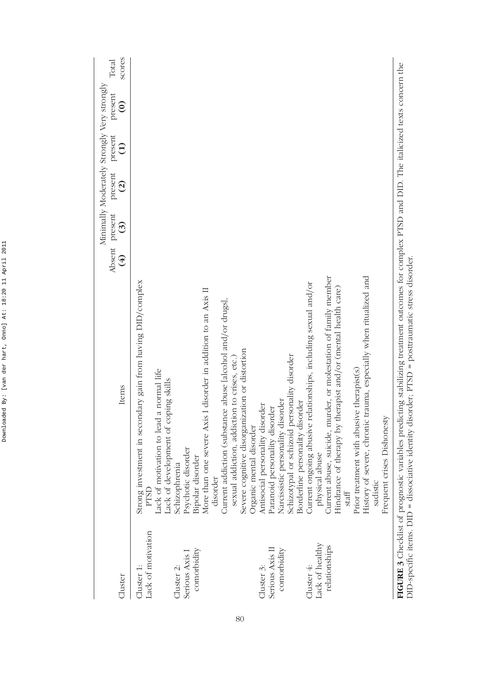| Cluster                                        | Items                                                                                                                                                                                                                                                                                                                                                                                         | Absent present<br>$\widehat{\mathcal{E}}$<br>$\mathbf{f}$ | present present<br>$\widehat{c}$ | $\widehat{\Xi}$ | Minimally Moderately Strongly Very strongly<br>present<br>$\widehat{\mathbf{e}}$ | scores<br>Total |
|------------------------------------------------|-----------------------------------------------------------------------------------------------------------------------------------------------------------------------------------------------------------------------------------------------------------------------------------------------------------------------------------------------------------------------------------------------|-----------------------------------------------------------|----------------------------------|-----------------|----------------------------------------------------------------------------------|-----------------|
| Lack of motivation<br>Cluster 1:               | Strong investment in secondary gain from having DID/complex<br>Lack of motivation to lead a normal life<br>Lack of development of coping skills<br>PTSD                                                                                                                                                                                                                                       |                                                           |                                  |                 |                                                                                  |                 |
| comorbidity<br>Serious Axis<br>Cluster 2:      | More than one severe Axis I disorder in addition to an Axis II<br>Current addiction (substance abuse [alcohol and/or drugs],<br>sexual addiction, addiction to crises, etc.)<br>Psychotic disorder<br>Bipolar disorder<br>Schizophrenia<br>disorder                                                                                                                                           |                                                           |                                  |                 |                                                                                  |                 |
| comorbidity<br>Serious Axis II<br>Cluster 3:   | Severe cognitive disorganization or distortion<br>Schizotypal or schizoid personality disorder<br>Narcissistic personality disorder<br>Antisocial personality disorder<br>personality disorder<br>Organic mental disorder<br>Paranoid                                                                                                                                                         |                                                           |                                  |                 |                                                                                  |                 |
| Lack of healthy<br>relationships<br>Cluster 4: | Current abuse, suicide, murder, or molestation of family member<br>History of severe, chronic trauma, especially when ritualized and<br>Current ongoing abusive relationships, including sexual and/or<br>Hindrance of therapy by therapist and/or (mental health care)<br>Prior treatment with abusive therapist(s)<br>Borderline personality disorder<br>physical abuse<br>sadistic<br>stat |                                                           |                                  |                 |                                                                                  |                 |
|                                                | crises Dishonesty<br>Frequent                                                                                                                                                                                                                                                                                                                                                                 |                                                           |                                  |                 |                                                                                  |                 |
|                                                |                                                                                                                                                                                                                                                                                                                                                                                               |                                                           |                                  |                 |                                                                                  |                 |

**FIGURE 3** Checklist of prognostic variables predicting stabilizing treatment outcomes for complex PTSD and DID. The italicized texts concern the DID-specific items. DID = dissociative identity disorder; PTSD = posttraumat **FIGURE 3** Checklist of prognostic variables predicting stabilizing treatment outcomes for complex PTSD and DID. The italicized texts concern the DID-specific items. DID = dissociative identity disorder; PTSD = posttraumatic stress disorder.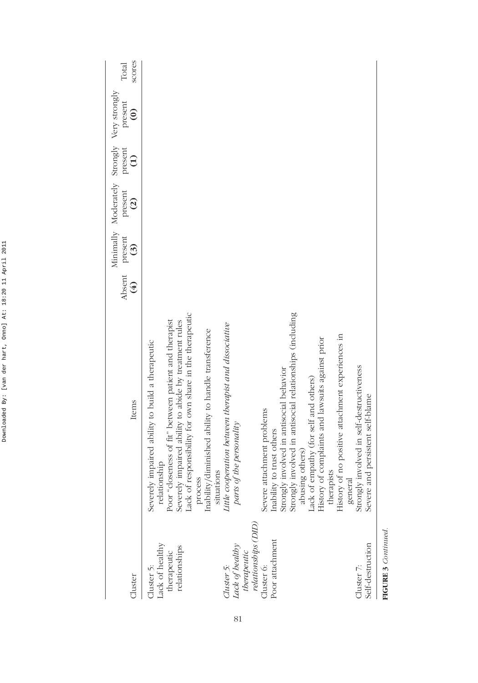| Cluster                                                             | Items                                                                                                                                                                                                                                                                                                                                                           | Absent<br>$\bigoplus$ | present<br>$\odot$ | present<br>$\widehat{c}$ | present<br>$\widehat{\Xi}$ | Minimally Moderately Strongly Very strongly<br>present<br>$\widehat{\mathbf{e}}$ | scores<br>Total |
|---------------------------------------------------------------------|-----------------------------------------------------------------------------------------------------------------------------------------------------------------------------------------------------------------------------------------------------------------------------------------------------------------------------------------------------------------|-----------------------|--------------------|--------------------------|----------------------------|----------------------------------------------------------------------------------|-----------------|
| ack of healthy<br>relationships<br>therapeutic<br>Cluster 5:        | Lack of responsibility for own share in the therapeutic<br>Severely impaired ability to abide by treatment rules<br>Poor "closeness of fit" between patient and therapist<br>Inability/diminished ability to handle transference<br>Severely impaired ability to build a therapeutic<br>relationship<br>situations<br>process                                   |                       |                    |                          |                            |                                                                                  |                 |
| relationships (DID)<br>Lack of healthy<br>therapeutic<br>Cluster 5: | Little cooperation between therapist and dissociative<br>parts of the personality                                                                                                                                                                                                                                                                               |                       |                    |                          |                            |                                                                                  |                 |
| Poor attachment<br>Cluster 6:                                       | Strongly involved in antisocial relationships (including<br>History of no positive attachment experiences in<br>History of complaints and lawsuits against prior<br>Strongly involved in antisocial behavior<br>empathy (for self and others)<br>Severe attachment problems<br>Inability to trust others<br>abusing others)<br>therapists<br>general<br>Lack of |                       |                    |                          |                            |                                                                                  |                 |
| Self-destruction<br>Cluster 7:                                      | Strongly involved in self-destructiveness<br>and persistent self-blame<br>Severe                                                                                                                                                                                                                                                                                |                       |                    |                          |                            |                                                                                  |                 |

FIGURE 3 Continued. **FIGURE 3** *Continued.*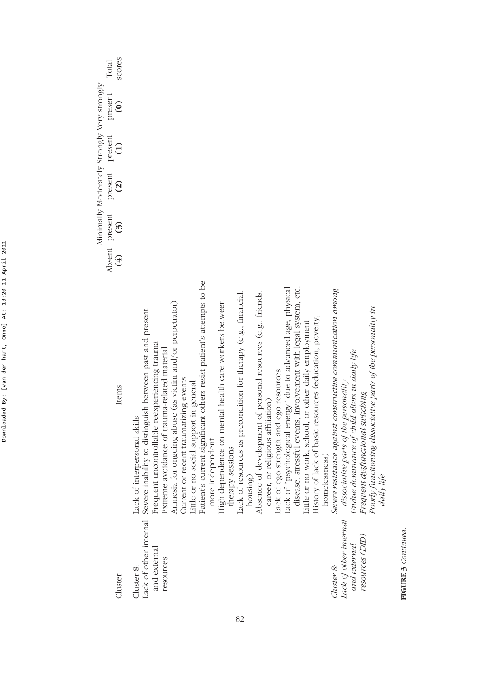| Cluster                                                                 | Items                                                                                                                                                                                                                                                                                                                                                                                                                                                                                                                                                                                                           | Absent<br>$\left( 4\right)$ | present<br>$\odot$ | present<br>$\widehat{c}$ | present<br>$\widehat{\Xi}$ | Minimally Moderately Strongly Very strongly<br>present<br>$\widehat{\mathbf{e}}$ | scores<br>Total |
|-------------------------------------------------------------------------|-----------------------------------------------------------------------------------------------------------------------------------------------------------------------------------------------------------------------------------------------------------------------------------------------------------------------------------------------------------------------------------------------------------------------------------------------------------------------------------------------------------------------------------------------------------------------------------------------------------------|-----------------------------|--------------------|--------------------------|----------------------------|----------------------------------------------------------------------------------|-----------------|
| and external<br>resources<br>Cluster 8:                                 | Patient's current significant others resist patient's attempts to be<br>Lack of resources as precondition for therapy (e.g., financial,<br>High dependence on mental health care workers between<br>Amnesia for ongoing abuse (as victim and/or perpetrator)<br>Lack of other internal Severe inability to distinguish between past and present<br>Frequent uncontrollable reexperiencing trauma<br>Extreme avoidance of trauma-related material<br>Current or recent traumatizing events<br>no social support in general<br>Lack of interpersonal skills<br>more independent<br>therapy sessions<br>ittle or 1 |                             |                    |                          |                            |                                                                                  |                 |
|                                                                         | Lack of "psychological energy" due to advanced age, physical<br>disease, stressful events, involvement with legal system, etc.<br>Absence of development of personal resources (e.g., friends,<br>History of lack of basic resources (education, poverty,<br>Little or no work, school, or other daily employment<br>Lack of ego strength and ego resources<br>career, or religious affiliation)<br>homelessness)<br>housing                                                                                                                                                                                    |                             |                    |                          |                            |                                                                                  |                 |
| Lack of other internal<br>resources (DID)<br>and external<br>Cluster 8: | Severe resistance against constructive communication among<br>Poorly functioning dissociative parts of the personality in<br>Undue dominance of child alters in daily life<br>dissociative parts of the personality<br>Frequent dysfunctional switching<br>daily life                                                                                                                                                                                                                                                                                                                                           |                             |                    |                          |                            |                                                                                  |                 |

FIGURE 3 Continued. **FIGURE 3** *Continued.*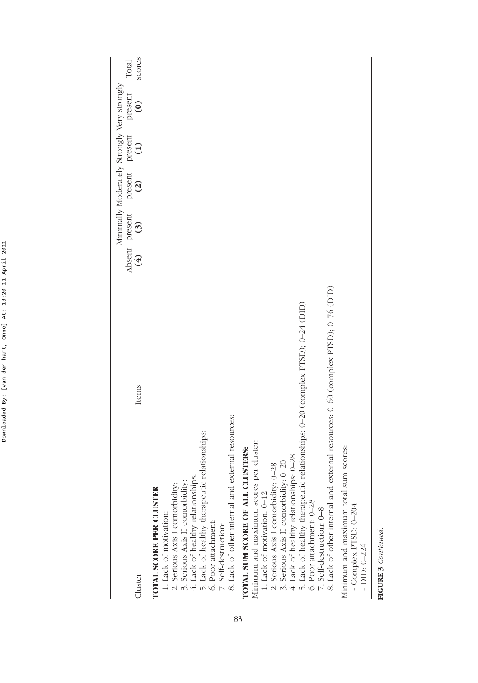| Cluster                                                                                                                                                                                                                                                                                                                                                                                                                                                                                                                                                                                                                                                                                                       | Items                                                                             | $\bigoplus$ | Absent present<br>$\widehat{c}$ | present<br>$\overline{c}$ | present<br>$\widehat{\Xi}$ | Minimally Moderately Strongly Very strongly<br>present<br>$\widehat{\mathbf{e}}$ | scores<br>Total |
|---------------------------------------------------------------------------------------------------------------------------------------------------------------------------------------------------------------------------------------------------------------------------------------------------------------------------------------------------------------------------------------------------------------------------------------------------------------------------------------------------------------------------------------------------------------------------------------------------------------------------------------------------------------------------------------------------------------|-----------------------------------------------------------------------------------|-------------|---------------------------------|---------------------------|----------------------------|----------------------------------------------------------------------------------|-----------------|
| 3. Serious Axis II comorbidity: 0–20<br>4. Lack of healthy relationships: 0–28<br>5. Lack of healthy therapeutic relationships: 0–20 (complex PTSD); 0–24 (DID)<br>7. Self-destruction:<br>8. Lack of other internal and external resources:<br>relationships:<br>Minimum and maximum scores per cluster:<br>TOTAL SUM SCORE OF ALL CLUSTERS:<br>$0 - 28$<br>4. Lack of healthy relationships:<br>5. Lack of healthy therapeutic re<br>3. Serious Axis II comorbidity:<br>2. Serious Axis I comorbidity:<br>2. Serious Axis I comorbidity:<br>TOTAL SCORE PER CLUSTER<br>1. Lack of motivation: 0-12<br>6. Poor attachment: 0-28<br>7. Self-destruction: 0-8<br>1. Lack of motivation:<br>6. Poor attachment: | 8. Lack of other internal and external resources: 0-60 (complex PTSD); 0-76 (DID) |             |                                 |                           |                            |                                                                                  |                 |
| Minimum and maximum total sum scores:<br>Complex PTSD: $0-204$                                                                                                                                                                                                                                                                                                                                                                                                                                                                                                                                                                                                                                                |                                                                                   |             |                                 |                           |                            |                                                                                  |                 |

83

 $-DID: 0-224$ <br>**FIGURE 3** Continued. **FIGURE 3** *Continued.*

- DID: 0–224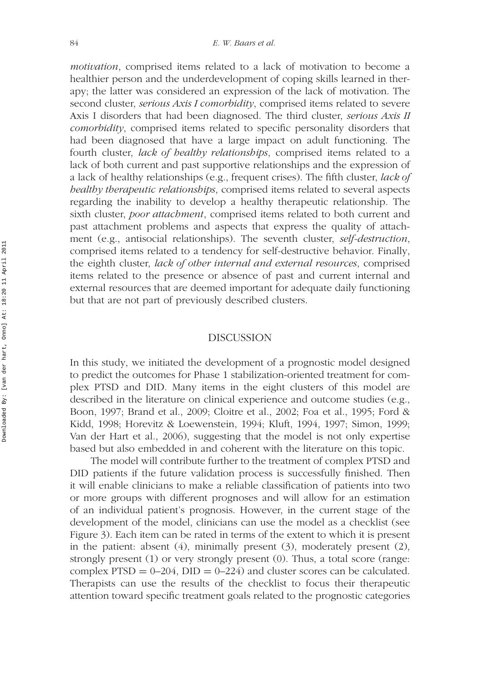*motivation*, comprised items related to a lack of motivation to become a healthier person and the underdevelopment of coping skills learned in therapy; the latter was considered an expression of the lack of motivation. The second cluster, *serious Axis I comorbidity*, comprised items related to severe Axis I disorders that had been diagnosed. The third cluster, *serious Axis II comorbidity*, comprised items related to specific personality disorders that had been diagnosed that have a large impact on adult functioning. The fourth cluster, *lack of healthy relationships*, comprised items related to a lack of both current and past supportive relationships and the expression of a lack of healthy relationships (e.g., frequent crises). The fifth cluster, *lack of healthy therapeutic relationships*, comprised items related to several aspects regarding the inability to develop a healthy therapeutic relationship. The sixth cluster, *poor attachment*, comprised items related to both current and past attachment problems and aspects that express the quality of attachment (e.g., antisocial relationships). The seventh cluster, *self-destruction*, comprised items related to a tendency for self-destructive behavior. Finally, the eighth cluster, *lack of other internal and external resources*, comprised items related to the presence or absence of past and current internal and external resources that are deemed important for adequate daily functioning but that are not part of previously described clusters.

#### DISCUSSION

In this study, we initiated the development of a prognostic model designed to predict the outcomes for Phase 1 stabilization-oriented treatment for complex PTSD and DID. Many items in the eight clusters of this model are described in the literature on clinical experience and outcome studies (e.g., Boon, 1997; Brand et al., 2009; Cloitre et al., 2002; Foa et al., 1995; Ford & Kidd, 1998; Horevitz & Loewenstein, 1994; Kluft, 1994, 1997; Simon, 1999; Van der Hart et al., 2006), suggesting that the model is not only expertise based but also embedded in and coherent with the literature on this topic.

The model will contribute further to the treatment of complex PTSD and DID patients if the future validation process is successfully finished. Then it will enable clinicians to make a reliable classification of patients into two or more groups with different prognoses and will allow for an estimation of an individual patient's prognosis. However, in the current stage of the development of the model, clinicians can use the model as a checklist (see Figure 3). Each item can be rated in terms of the extent to which it is present in the patient: absent  $(4)$ , minimally present  $(3)$ , moderately present  $(2)$ , strongly present (1) or very strongly present (0). Thus, a total score (range: complex PTSD =  $0-204$ , DID =  $0-224$ ) and cluster scores can be calculated. Therapists can use the results of the checklist to focus their therapeutic attention toward specific treatment goals related to the prognostic categories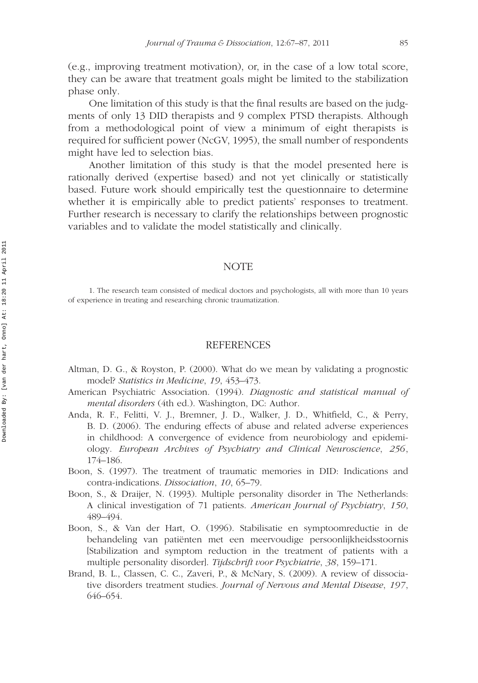(e.g., improving treatment motivation), or, in the case of a low total score, they can be aware that treatment goals might be limited to the stabilization phase only.

One limitation of this study is that the final results are based on the judgments of only 13 DID therapists and 9 complex PTSD therapists. Although from a methodological point of view a minimum of eight therapists is required for sufficient power (NcGV, 1995), the small number of respondents might have led to selection bias.

Another limitation of this study is that the model presented here is rationally derived (expertise based) and not yet clinically or statistically based. Future work should empirically test the questionnaire to determine whether it is empirically able to predict patients' responses to treatment. Further research is necessary to clarify the relationships between prognostic variables and to validate the model statistically and clinically.

#### NOTE

1. The research team consisted of medical doctors and psychologists, all with more than 10 years of experience in treating and researching chronic traumatization.

#### REFERENCES

- Altman, D. G., & Royston, P. (2000). What do we mean by validating a prognostic model? *Statistics in Medicine*, *19*, 453–473.
- American Psychiatric Association. (1994). *Diagnostic and statistical manual of mental disorders* (4th ed.). Washington, DC: Author.
- Anda, R. F., Felitti, V. J., Bremner, J. D., Walker, J. D., Whitfield, C., & Perry, B. D. (2006). The enduring effects of abuse and related adverse experiences in childhood: A convergence of evidence from neurobiology and epidemiology. *European Archives of Psychiatry and Clinical Neuroscience*, *256*, 174–186.
- Boon, S. (1997). The treatment of traumatic memories in DID: Indications and contra-indications. *Dissociation*, *10*, 65–79.
- Boon, S., & Draijer, N. (1993). Multiple personality disorder in The Netherlands: A clinical investigation of 71 patients. *American Journal of Psychiatry*, *150*, 489–494.
- Boon, S., & Van der Hart, O. (1996). Stabilisatie en symptoomreductie in de behandeling van patiënten met een meervoudige persoonlijkheidsstoornis [Stabilization and symptom reduction in the treatment of patients with a multiple personality disorder]. *Tijdschrift voor Psychiatrie*, *38*, 159–171.
- Brand, B. L., Classen, C. C., Zaveri, P., & McNary, S. (2009). A review of dissociative disorders treatment studies. *Journal of Nervous and Mental Disease*, *197*, 646–654.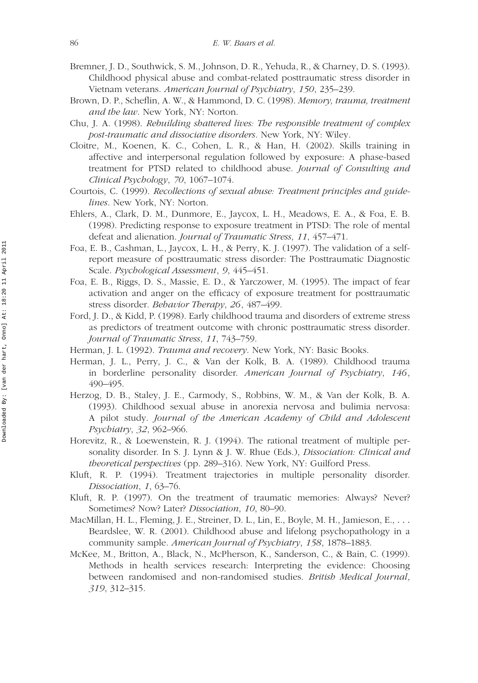- Bremner, J. D., Southwick, S. M., Johnson, D. R., Yehuda, R., & Charney, D. S. (1993). Childhood physical abuse and combat-related posttraumatic stress disorder in Vietnam veterans. *American Journal of Psychiatry*, *150*, 235–239.
- Brown, D. P., Scheflin, A. W., & Hammond, D. C. (1998). *Memory, trauma, treatment and the law*. New York, NY: Norton.
- Chu, J. A. (1998). *Rebuilding shattered lives: The responsible treatment of complex post-traumatic and dissociative disorders*. New York, NY: Wiley.
- Cloitre, M., Koenen, K. C., Cohen, L. R., & Han, H. (2002). Skills training in affective and interpersonal regulation followed by exposure: A phase-based treatment for PTSD related to childhood abuse. *Journal of Consulting and Clinical Psychology*, *70*, 1067–1074.
- Courtois, C. (1999). *Recollections of sexual abuse: Treatment principles and guidelines*. New York, NY: Norton.
- Ehlers, A., Clark, D. M., Dunmore, E., Jaycox, L. H., Meadows, E. A., & Foa, E. B. (1998). Predicting response to exposure treatment in PTSD: The role of mental defeat and alienation. *Journal of Traumatic Stress*, *11*, 457–471.
- Foa, E. B., Cashman, L., Jaycox, L. H., & Perry, K. J. (1997). The validation of a selfreport measure of posttraumatic stress disorder: The Posttraumatic Diagnostic Scale. *Psychological Assessment*, *9*, 445–451.
- Foa, E. B., Riggs, D. S., Massie, E. D., & Yarczower, M. (1995). The impact of fear activation and anger on the efficacy of exposure treatment for posttraumatic stress disorder. *Behavior Therapy*, *26*, 487–499.
- Ford, J. D., & Kidd, P. (1998). Early childhood trauma and disorders of extreme stress as predictors of treatment outcome with chronic posttraumatic stress disorder. *Journal of Traumatic Stress*, *11*, 743–759.
- Herman, J. L. (1992). *Trauma and recovery*. New York, NY: Basic Books.
- Herman, J. L., Perry, J. C., & Van der Kolk, B. A. (1989). Childhood trauma in borderline personality disorder. *American Journal of Psychiatry*, *146*, 490–495.
- Herzog, D. B., Staley, J. E., Carmody, S., Robbins, W. M., & Van der Kolk, B. A. (1993). Childhood sexual abuse in anorexia nervosa and bulimia nervosa: A pilot study. *Journal of the American Academy of Child and Adolescent Psychiatry*, *32*, 962–966.
- Horevitz, R., & Loewenstein, R. J. (1994). The rational treatment of multiple personality disorder. In S. J. Lynn & J. W. Rhue (Eds.), *Dissociation: Clinical and theoretical perspectives* (pp. 289–316). New York, NY: Guilford Press.
- Kluft, R. P. (1994). Treatment trajectories in multiple personality disorder. *Dissociation*, *1*, 63–76.
- Kluft, R. P. (1997). On the treatment of traumatic memories: Always? Never? Sometimes? Now? Later? *Dissociation*, *10*, 80–90.
- MacMillan, H. L., Fleming, J. E., Streiner, D. L., Lin, E., Boyle, M. H., Jamieson, E., *...* Beardslee, W. R. (2001). Childhood abuse and lifelong psychopathology in a community sample. *American Journal of Psychiatry*, *158*, 1878–1883.
- McKee, M., Britton, A., Black, N., McPherson, K., Sanderson, C., & Bain, C. (1999). Methods in health services research: Interpreting the evidence: Choosing between randomised and non-randomised studies. *British Medical Journal*, *319*, 312–315.